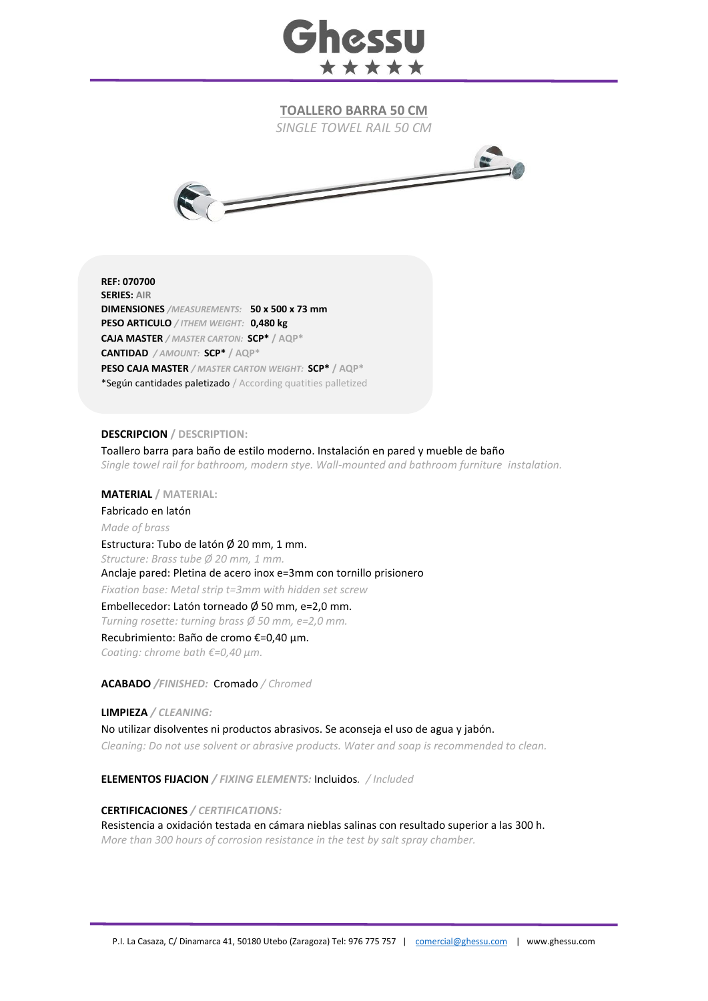

**TOALLERO BARRA 50 CM**

*SINGLE TOWEL RAIL 50 CM*



**REF: 070700 SERIES: AIR DIMENSIONES** */MEASUREMENTS:* **50 x 500 x 73 mm PESO ARTICULO** */ ITHEM WEIGHT:* **0,480 kg CAJA MASTER** */ MASTER CARTON:* **SCP\* / AQP\* CANTIDAD** */ AMOUNT:* **SCP\* / AQP\* PESO CAJA MASTER** */ MASTER CARTON WEIGHT:* **SCP\* / AQP\*** \*Según cantidades paletizado / According quatities palletized

## **DESCRIPCION / DESCRIPTION:**

Toallero barra para baño de estilo moderno. Instalación en pared y mueble de baño *Single towel rail for bathroom, modern stye. Wall-mounted and bathroom furniture instalation.*

**MATERIAL / MATERIAL:** 

Fabricado en latón *Made of brass* Estructura: Tubo de latón Ø 20 mm, 1 mm. *Structure: Brass tube Ø 20 mm, 1 mm.*  Anclaje pared: Pletina de acero inox e=3mm con tornillo prisionero *Fixation base: Metal strip t=3mm with hidden set screw* Embellecedor: Latón torneado Ø 50 mm, e=2,0 mm. *Turning rosette: turning brass Ø 50 mm, e=2,0 mm.* Recubrimiento: Baño de cromo €=0,40 μm.

*Coating: chrome bath €=0,40 μm.*

**ACABADO** */FINISHED:*Cromado */ Chromed*

**LIMPIEZA** */ CLEANING:* No utilizar disolventes ni productos abrasivos. Se aconseja el uso de agua y jabón. *Cleaning: Do not use solvent or abrasive products. Water and soap is recommended to clean.*

**ELEMENTOS FIJACION** */ FIXING ELEMENTS:* Incluidos*. / Included*

**CERTIFICACIONES** */ CERTIFICATIONS:*

Resistencia a oxidación testada en cámara nieblas salinas con resultado superior a las 300 h. *More than 300 hours of corrosion resistance in the test by salt spray chamber.*